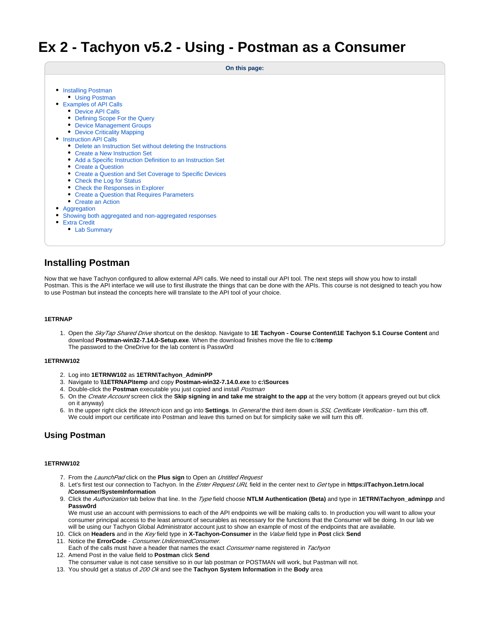# **Ex 2 - Tachyon v5.2 - Using - Postman as a Consumer**

|  | On this page: |
|--|---------------|
|  |               |

- [Installing Postman](#page-0-0)
	- [Using Postman](#page-0-1)
- [Examples of API Calls](#page-0-2)
	- [Device API Calls](#page-1-0)
	- [Defining Scope For the Query](#page-1-1)
	- [Device Management Groups](#page-1-2)
- [Device Criticality Mapping](#page-1-3) • [Instruction API Calls](#page-1-4)
	- [Delete an Instruction Set without deleting the Instructions](#page-2-0)
	- [Create a New Instruction Set](#page-2-1)
	- [Add a Specific Instruction Definition to an Instruction Set](#page-2-2)
	- [Create a Question](#page-2-3)
	- [Create a Question and Set Coverage to Specific Devices](#page-3-0)
	- [Check the Log for Status](#page-3-1)
	- [Check the Responses in Explorer](#page-3-2)
	- [Create a Question that Requires Parameters](#page-3-3)
	- [Create an Action](#page-4-0)
- [Aggregation](#page-5-0)
- [Showing both aggregated and non-aggregated responses](#page-5-1)
- [Extra Credit](#page-6-0)
	- [Lab Summary](#page-6-1)

# <span id="page-0-0"></span>**Installing Postman**

Now that we have Tachyon configured to allow external API calls. We need to install our API tool. The next steps will show you how to install Postman. This is the API interface we will use to first illustrate the things that can be done with the APIs. This course is not designed to teach you how to use Postman but instead the concepts here will translate to the API tool of your choice.

#### **1ETRNAP**

1. Open the SkyTap Shared Drive shortcut on the desktop. Navigate to **1E Tachyon - Course Content\1E Tachyon 5.1 Course Content** and download **Postman-win32-7.14.0-Setup.exe**. When the download finishes move the file to **c:\temp** The password to the OneDrive for the lab content is Passw0rd

### **1ETRNW102**

- 2. Log into **1ETRNW102** as **1ETRN\Tachyon\_AdminPP**
- 3. Navigate to **\\1ETRNAP\temp** and copy **Postman-win32-7.14.0.exe** to **c:\Sources**
- 4. Double-click the **Postman** executable you just copied and install Postman
- 5. On the Create Account screen click the **Skip signing in and take me straight to the app** at the very bottom (it appears greyed out but click on it anyway)
- 6. In the upper right click the *Wrench* icon and go into **Settings**. In *General* the third item down is *SSL Certificate Verification* turn this off. We could import our certificate into Postman and leave this turned on but for simplicity sake we will turn this off.

# <span id="page-0-1"></span>**Using Postman**

#### **1ETRNW102**

- 7. From the *LaunchPad* click on the **Plus sign** to Open an *Untitled Request*
- 8. Let's first test our connection to Tachyon. In the Enter Request URL field in the center next to Get type in **https://Tachyon.1etrn.local /Consumer/SystemInformation**
- 9. Click the Authorization tab below that line. In the Type field choose **NTLM Authentication (Beta)** and type in **1ETRN\Tachyon\_adminpp** and **Passw0rd**

We must use an account with permissions to each of the API endpoints we will be making calls to. In production you will want to allow your consumer principal access to the least amount of securables as necessary for the functions that the Consumer will be doing. In our lab we will be using our Tachyon Global Administrator account just to show an example of most of the endpoints that are available.

- 10. Click on **Headers** and in the Key field type in **X-Tachyon-Consumer** in the Value field type in **Post** click **Send**
- 11. Notice the **ErrorCode** Consumer.UnlicensedConsumer.
- 12. Amend Post in the value field to **Postman** click **Send** Each of the calls must have a header that names the exact Consumer name registered in Tachyon
- The consumer value is not case sensitive so in our lab postman or POSTMAN will work, but Pastman will not.
- <span id="page-0-2"></span>13. You should get a status of 200 Ok and see the **Tachyon System Information** in the **Body** area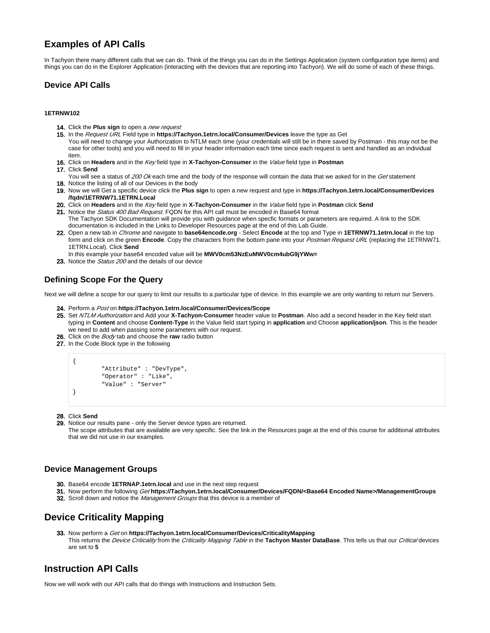# **Examples of API Calls**

In Tachyon there many different calls that we can do. Think of the things you can do in the Settings Application (system configuration type items) and things you can do in the Explorer Application (interacting with the devices that are reporting into Tachyon). We will do some of each of these things.

# <span id="page-1-0"></span>**Device API Calls**

#### **1ETRNW102**

- 14. Click the Plus sign to open a *new request*
- 15. In the Request URL Field type in **https://Tachyon.1etrn.local/Consumer/Devices** leave the type as Get You will need to change your Authorization to NTLM each time (your credentials will still be in there saved by Postman - this may not be the case for other tools) and you will need to fill in your header information each time since each request is sent and handled as an individual item.
- 16. Click on **Headers** and in the Key field type in **X-Tachyon-Consumer** in the Value field type in **Postman**
- 17. Click **Send**
- 18. Notice the listing of all of our Devices in the body You will see a status of 200 Ok each time and the body of the response will contain the data that we asked for in the Get statement
- 19. Now we will Get a specific device click the **Plus sign** to open a new request and type in **https://Tachyon.1etrn.local/Consumer/Devices /fqdn/1ETRNW71.1ETRN.Local**
- 20. Click on **Headers** and in the Key field type in **X-Tachyon-Consumer** in the Value field type in **Postman** click **Send**
- 21. Notice the *Status 400 Bad Request*. FQDN for this API call must be encoded in Base64 format The Tachyon SDK Documentation will provide you with guidance when specfic formats or parameters are required. A link to the SDK documentation is included in the Links to Developer Resources page at the end of this Lab Guide.
- 22. Open a new tab in Chrome and navigate to **base64encode.org** Select **Encode** at the top and Type in **1ETRNW71.1etrn.local** in the top form and click on the green **Encode**. Copy the characters from the bottom pane into your Postman Request URL (replacing the 1ETRNW71. 1ETRN.Local). Click **Send**
- In this example your base64 encoded value will be **MWV0cm53NzEuMWV0cm4ubG9jYWw=**
- 23. Notice the Status 200 and the details of our device

# <span id="page-1-1"></span>**Defining Scope For the Query**

Next we will define a scope for our query to limit our results to a particular type of device. In this example we are only wanting to return our Servers.

- 24. Perform a Post on **https://Tachyon.1etrn.local/Consumer/Devices/Scope**
- 25. Set NTLM Authorization and Add your **X-Tachyon-Consumer** header value to **Postman**. Also add a second header in the Key field start typing in **Content** and choose **Content-Type** in the Value field start typing in **application** and Choose **application/json**. This is the header we need to add when passing some parameters with our request.
- 26. Click on the Body tab and choose the **raw** radio button
- 27. In the Code Block type in the following

```
{
         "Attribute" : "DevType",
         "Operator" : "Like",
         "Value" : "Server"
}
```
28. Click **Send**

29. Notice our results pane - only the Server device types are returned.

The scope attributes that are available are very specific. See the link in the Resources page at the end of this course for additional attributes that we did not use in our examples.

# <span id="page-1-2"></span>**Device Management Groups**

- 30. Base64 encode **1ETRNAP.1etrn.local** and use in the next step request
- 31. Now perform the following Get **https://Tachyon.1etrn.local/Consumer/Devices/FQDN/<Base64 Encoded Name>/ManagementGroups**
- **32.** Scroll down and notice the *Management Groups* that this device is a member of

# <span id="page-1-3"></span>**Device Criticality Mapping**

33. Now perform a Get on **https://Tachyon.1etrn.local/Consumer/Devices/CriticalityMapping** This returns the Device Criticality from the Criticality Mapping Table in the **Tachyon Master DataBase**. This tells us that our Critical devices are set to **5**

# <span id="page-1-4"></span>**Instruction API Calls**

Now we will work with our API calls that do things with Instructions and Instruction Sets.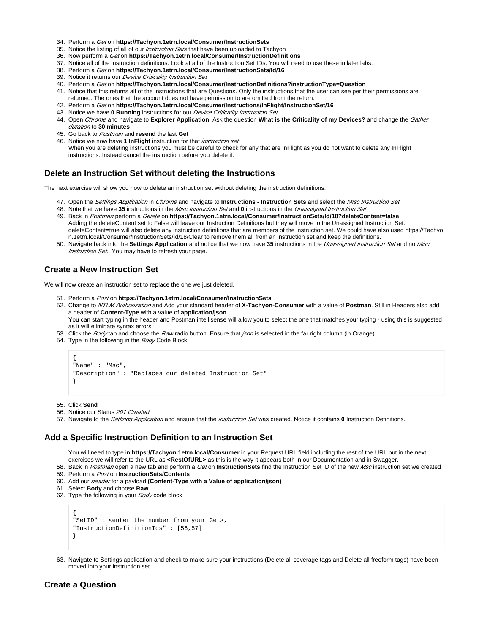- 34. Perform a Get on **https://Tachyon.1etrn.local/Consumer/InstructionSets**
- 35. Notice the listing of all of our *Instruction Sets* that have been uploaded to Tachyon
- 36. Now perform a Get on **https://Tachyon.1etrn.local/Consumer/InstructionDefinitions**
- 37. Notice all of the instruction definitions. Look at all of the Instruction Set IDs. You will need to use these in later labs.
- 38. Perform a Get on **https://Tachyon.1etrn.local/Consumer/InstructionSets/Id/16**
- 39. Notice it returns our *Device Criticality Instruction Set*
- 40. Perform a Get on **https://Tachyon.1etrn.local/Consumer/InstructionDefinitions?instructionType=Question**
- 41. Notice that this returns all of the instructions that are Questions. Only the instructions that the user can see per their permissions are returned. The ones that the account does not have permission to are omitted from the return.
- 42. Perform a Get on **https://Tachyon.1etrn.local/Consumer/Instructions/InFlight/InstructionSet/16**
- 43. Notice we have **0 Running** instructions for our Device Criticality Instruction Set
- 44. Open Chrome and navigate to **Explorer Application**. Ask the question **What is the Criticality of my Devices?** and change the Gather duration to **30 minutes**
- 45. Go back to Postman and **resend** the last **Get**
- 46. Notice we now have **1 InFlight** instruction for that instruction set When you are deleting instructions you must be careful to check for any that are InFlight as you do not want to delete any InFlight instructions. Instead cancel the instruction before you delete it.

### <span id="page-2-0"></span>**Delete an Instruction Set without deleting the Instructions**

The next exercise will show you how to delete an instruction set without deleting the instruction definitions.

- 47. Open the Settings Application in Chrome and navigate to **Instructions Instruction Sets** and select the Misc Instruction Set.
- 48. Note that we have **35** instructions in the Misc Instruction Set and **0** instructions in the Unassigned Instruction Set
- 49. Back in Postman perform a Delete on **https://Tachyon.1etrn.local/Consumer/InstructionSets/Id/18?deleteContent=false** Adding the deleteContent set to False will leave our Instruction Definitions but they will move to the Unassigned Instruction Set. deleteContent=true will also delete any instruction definitions that are members of the instruction set. We could have also used https://Tachyo n.1etrn.local/Consumer/InstructionSets/Id/18/Clear to remove them all from an instruction set and keep the definitions.
- 50. Navigate back into the **Settings Application** and notice that we now have **35** instructions in the Unassigned Instruction Set and no Misc Instruction Set. You may have to refresh your page.

### <span id="page-2-1"></span>**Create a New Instruction Set**

We will now create an instruction set to replace the one we just deleted.

- 51. Perform a Post on **https://Tachyon.1etrn.local/Consumer/InstructionSets**
- 52. Change to NTLM Authorization and Add your standard header of **X-Tachyon-Consumer** with a value of **Postman**. Still in Headers also add a header of **Content-Type** with a value of **application/json**

You can start typing in the header and Postman intellisense will allow you to select the one that matches your typing - using this is suggested as it will eliminate syntax errors.

- 53. Click the *Body* tab and choose the *Raw* radio button. Ensure that *json* is selected in the far right column (in Orange)
- 54. Type in the following in the *Body* Code Block

```
{
"Name" : "Msc",
"Description" : "Replaces our deleted Instruction Set"
}
```
55. Click **Send**

- 56. Notice our Status 201 Created
- 57. Navigate to the Settings Application and ensure that the Instruction Set was created. Notice it contains **0** Instruction Definitions.

### <span id="page-2-2"></span>**Add a Specific Instruction Definition to an Instruction Set**

You will need to type in **https://Tachyon.1etrn.local/Consumer** in your Request URL field including the rest of the URL but in the next exercises we will refer to the URL as **<RestOfURL>** as this is the way it appears both in our Documentation and in Swagger.

- 58. Back in Postman open a new tab and perform a Get on **InstructionSets** find the Instruction Set ID of the new Msc instruction set we created 59. Perform a Post on **InstructionSets/Contents**
- 60. Add our header for a payload **(Content-Type with a Value of application/json)**
- 61. Select **Body** and choose **Raw**
- 62. Type the following in your *Body* code block

```
{
"SetID" : <enter the number from your Get>,
"InstructionDefinitionIds" : [56,57]
}
```
63. Navigate to Settings application and check to make sure your instructions (Delete all coverage tags and Delete all freeform tags) have been moved into your instruction set.

# <span id="page-2-3"></span>**Create a Question**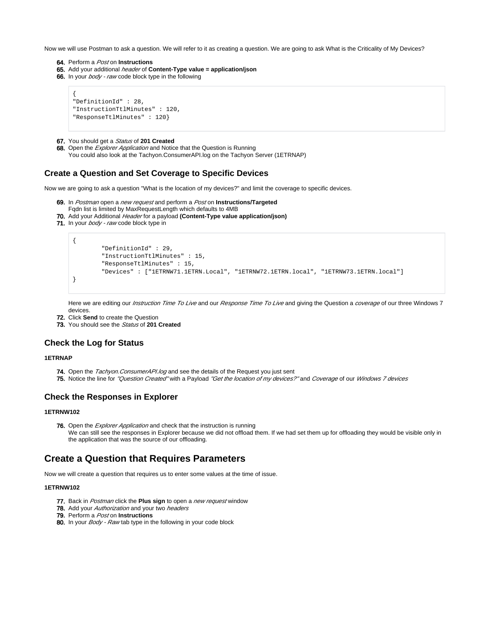Now we will use Postman to ask a question. We will refer to it as creating a question. We are going to ask What is the Criticality of My Devices?

- 64. Perform a Post on **Instructions**
- 65. Add your additional header of **Content-Type value = application/json**
- 66. In your *body raw* code block type in the following

```
{
"DefinitionId" : 28,
"InstructionTtlMinutes" : 120,
"ResponseTtlMinutes" : 120}
```
- 67. You should get a Status of **201 Created**
- 68. Open the *Explorer Application* and Notice that the Question is Running
	- You could also look at the Tachyon.ConsumerAPI.log on the Tachyon Server (1ETRNAP)

## <span id="page-3-0"></span>**Create a Question and Set Coverage to Specific Devices**

Now we are going to ask a question "What is the location of my devices?" and limit the coverage to specific devices.

- 69. In Postman open a new request and perform a Post on **Instructions/Targeted**
- Fqdn list is limited by MaxRequestLength which defaults to 4MB
- 70. Add your Additional Header for a payload **(Content-Type value application/json)**
- 71. In your *body raw* code block type in

```
{
         "DefinitionId" : 29,
         "InstructionTtlMinutes" : 15,
         "ResponseTtlMinutes" : 15,
         "Devices" : ["1ETRNW71.1ETRN.Local", "1ETRNW72.1ETRN.local", "1ETRNW73.1ETRN.local"]
}
```
Here we are editing our *Instruction Time To Live* and our *Response Time To Live* and giving the Question a *coverage* of our three Windows 7 devices.

- 72. Click **Send** to create the Question
- 73. You should see the Status of **201 Created**

### <span id="page-3-1"></span>**Check the Log for Status**

#### **1ETRNAP**

- **74.** Open the *Tachyon.ConsumerAPI.log* and see the details of the Request you just sent
- **75.** Notice the line for *"Question Created"* with a Payload *"Get the location of my devices?"* and *Coverage* of our *Windows 7 devices*

### <span id="page-3-2"></span>**Check the Responses in Explorer**

#### **1ETRNW102**

76. Open the *Explorer Application* and check that the instruction is running We can still see the responses in Explorer because we did not offload them. If we had set them up for offloading they would be visible only in the application that was the source of our offloading.

# <span id="page-3-3"></span>**Create a Question that Requires Parameters**

Now we will create a question that requires us to enter some values at the time of issue.

#### **1ETRNW102**

- 77. Back in Postman click the **Plus sign** to open a new request window
- 78. Add your Authorization and your two headers
- 79. Perform a Post on **Instructions**
- 80. In your *Body Raw* tab type in the following in your code block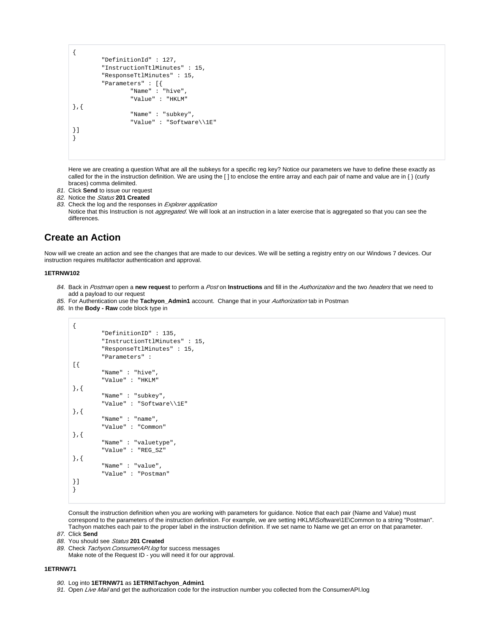{ "DefinitionId" : 127, "InstructionTtlMinutes" : 15, "ResponseTtlMinutes" : 15, "Parameters" : [{ "Name" : "hive", "Value" : "HKLM" },{ "Name" : "subkey", "Value" : "Software\\1E" }] }

Here we are creating a question What are all the subkeys for a specific reg key? Notice our parameters we have to define these exactly as called for the in the instruction definition. We are using the [ ] to enclose the entire array and each pair of name and value are in { } (curly braces) comma delimited.

- 81. Click **Send** to issue our request
- 82. Notice the Status **201 Created**
- 83. Check the log and the responses in *Explorer application*
- Notice that this Instruction is not *aggregated*. We will look at an instruction in a later exercise that is aggregated so that you can see the differences.

# <span id="page-4-0"></span>**Create an Action**

Now will we create an action and see the changes that are made to our devices. We will be setting a registry entry on our Windows 7 devices. Our instruction requires multifactor authentication and approval.

#### **1ETRNW102**

- 84. Back in Postman open a **new request** to perform a Post on **Instructions** and fill in the Authorization and the two headers that we need to add a payload to our request
- 85. For Authentication use the **Tachyon\_Admin1** account. Change that in your Authorization tab in Postman
- 86. In the **Body Raw** code block type in

```
{
         "DefinitionID" : 135,
         "InstructionTtlMinutes" : 15,
         "ResponseTtlMinutes" : 15,
         "Parameters" : 
[{
         "Name" : "hive",
         "Value" : "HKLM"
},{
         "Name" : "subkey",
         "Value" : "Software\\1E"
},{
         "Name" : "name",
         "Value" : "Common"
},{
         "Name" : "valuetype",
         "Value" : "REG_SZ"
},{
         "Name" : "value",
         "Value" : "Postman"
}]
}
```
Consult the instruction definition when you are working with parameters for guidance. Notice that each pair (Name and Value) must correspond to the parameters of the instruction definition. For example, we are setting HKLM\Software\1E\Common to a string "Postman". Tachyon matches each pair to the proper label in the instruction definition. If we set name to Name we get an error on that parameter.

- 87. Click **Send**
- 88. You should see Status **201 Created**
- 89. Check Tachyon. ConsumerAPI.log for success messages

Make note of the Request ID - you will need it for our approval.

#### **1ETRNW71**

- 90. Log into **1ETRNW71** as **1ETRN\Tachyon\_Admin1**
- 91. Open Live Mail and get the authorization code for the instruction number you collected from the ConsumerAPI.log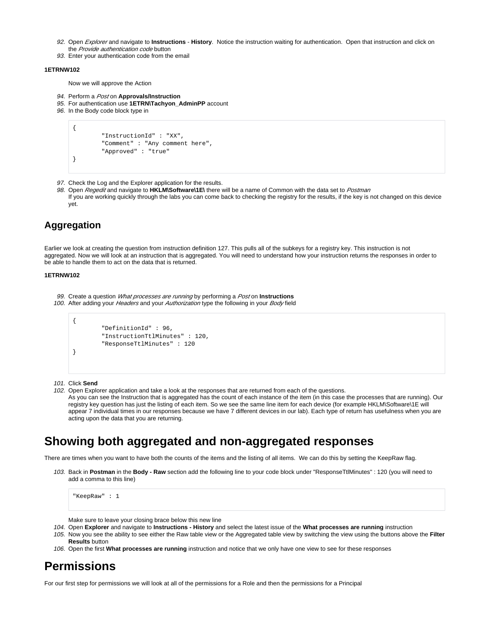- 92. Open Explorer and navigate to **Instructions History**. Notice the instruction waiting for authentication. Open that instruction and click on the Provide authentication code button
- 93. Enter your authentication code from the email

### **1ETRNW102**

Now we will approve the Action

- 94. Perform a Post on **Approvals/Instruction**
- 95. For authentication use **1ETRN\Tachyon\_AdminPP** account
- 96. In the Body code block type in

```
{
         "InstructionId" : "XX",
         "Comment" : "Any comment here",
         "Approved" : "true"
}
```
- 97. Check the Log and the Explorer application for the results.
- 98. Open Regedit and navigate to HKLM\Software\1E\ there will be a name of Common with the data set to Postman If you are working quickly through the labs you can come back to checking the registry for the results, if the key is not changed on this device yet.

# <span id="page-5-0"></span>**Aggregation**

Earlier we look at creating the question from instruction definition 127. This pulls all of the subkeys for a registry key. This instruction is not aggregated. Now we will look at an instruction that is aggregated. You will need to understand how your instruction returns the responses in order to be able to handle them to act on the data that is returned.

#### **1ETRNW102**

- 99. Create a question What processes are running by performing a Post on **Instructions**
- 100. After adding your Headers and your Authorization type the following in your Body field

```
{
         "DefinitionId" : 96,
         "InstructionTtlMinutes" : 120,
         "ResponseTtlMinutes" : 120
}
```
#### 101. Click **Send**

102. Open Explorer application and take a look at the responses that are returned from each of the questions.

As you can see the Instruction that is aggregated has the count of each instance of the item (in this case the processes that are running). Our registry key question has just the listing of each item. So we see the same line item for each device (for example HKLM\Software\1E will appear 7 individual times in our responses because we have 7 different devices in our lab). Each type of return has usefulness when you are acting upon the data that you are returning.

# <span id="page-5-1"></span>**Showing both aggregated and non-aggregated responses**

There are times when you want to have both the counts of the items and the listing of all items. We can do this by setting the KeepRaw flag.

103. Back in **Postman** in the **Body - Raw** section add the following line to your code block under "ResponseTtlMinutes" : 120 (you will need to add a comma to this line)

"KeepRaw" : 1

Make sure to leave your closing brace below this new line

- 104. Open **Explorer** and navigate to **Instructions History** and select the latest issue of the **What processes are running** instruction
- 105. Now you see the ability to see either the Raw table view or the Aggregated table view by switching the view using the buttons above the **Filter Results** button
- 106. Open the first **What processes are running** instruction and notice that we only have one view to see for these responses

# **Permissions**

For our first step for permissions we will look at all of the permissions for a Role and then the permissions for a Principal